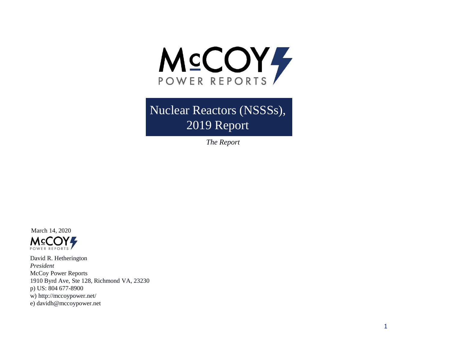

Nuclear Reactors (NSSSs), 2019 Report

*The Report*



David R. Hetherington *President* McCoy Power Reports 1910 Byrd Ave, Ste 128, Richmond VA, 23230 p) US: 804 677-8900 w) http://mccoypower.net/ e) davidh@mccoypower.net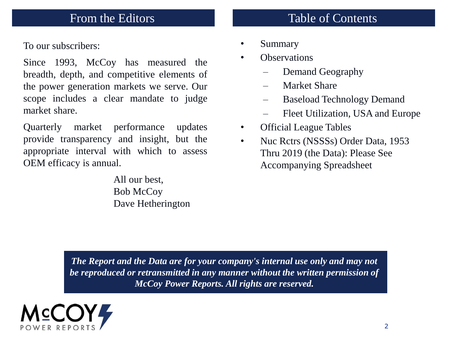To our subscribers:

Since 1993, McCoy has measured the breadth, depth, and competitive elements of the power generation markets we serve. Our scope includes a clear mandate to judge market share.

Quarterly market performance updates provide transparency and insight, but the appropriate interval with which to assess OEM efficacy is annual.

> All our best, Bob McCoy Dave Hetherington

## From the Editors Table of Contents

- Summary
- **Observations** 
	- Demand Geography
	- Market Share
	- Baseload Technology Demand
	- Fleet Utilization, USA and Europe
- Official League Tables
- Nuc Rctrs (NSSSs) Order Data, 1953 Thru 2019 (the Data): Please See Accompanying Spreadsheet

*The Report and the Data are for your company's internal use only and may not be reproduced or retransmitted in any manner without the written permission of McCoy Power Reports. All rights are reserved.*

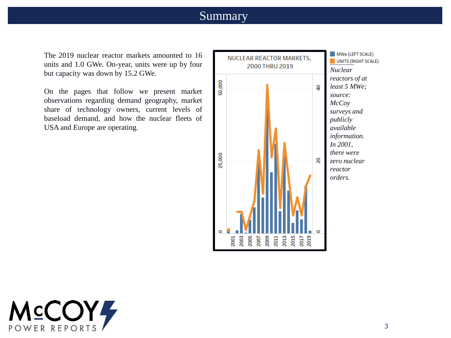#### Summary

The 2019 nuclear reactor markets amounted to 16 units and 1.0 GWe. On-year, units were up by four but capacity was down by 15.2 GWe.

On the pages that follow we present market observations regarding demand geography, market share of technology owners, current levels of baseload demand, and how the nuclear fleets of USA and Europe are operating.



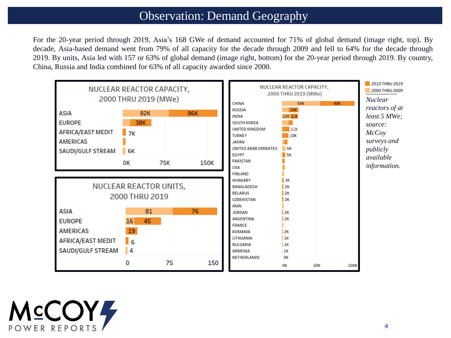#### Observation: Demand Geography

For the 20-year period through 2019, Asia's 168 GWe of demand accounted for 71% of global demand (image right, top). By decade, Asia-based demand went from 79% of all capacity for the decade through 2009 and fell to 64% for the decade through 2019. By units, Asia led with 157 or 63% of global demand (image right, bottom) for the 20-year period through 2019. By country, China, Russia and India combined for 63% of all capacity awarded since 2000.



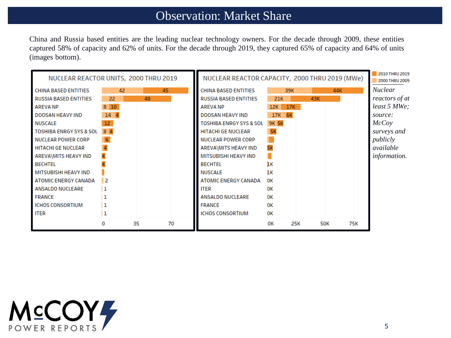## Observation: Market Share

China and Russia based entities are the leading nuclear technology owners. For the decade through 2009, these entities captured 58% of capacity and 62% of units. For the decade through 2019, they captured 65% of capacity and 64% of units (images bottom).

| NUCLEAR REACTOR UNITS, 2000 THRU 2019 |                  |    |    | NUCLEAR REACTOR CAPACITY, 2000 THRU 2019 (MWe) |                                    |              |     |            | 2010 THRU 2019<br>2000 THRU 2009 |     |                     |
|---------------------------------------|------------------|----|----|------------------------------------------------|------------------------------------|--------------|-----|------------|----------------------------------|-----|---------------------|
| <b>CHINA BASED ENTITIES</b>           | 42               |    |    | 45                                             | <b>CHINA BASED ENTITIES</b>        |              | 39K |            | 44K                              |     | <i>Nuclear</i>      |
| <b>RUSSIA BASED ENTITIES</b>          | 22               |    | 48 |                                                | <b>RUSSIA BASED ENTITIES</b>       | 21K          |     | 43K        |                                  |     | reactors of at      |
| <b>AREVA NP</b>                       | $8\overline{10}$ |    |    |                                                | <b>AREVANP</b>                     | 12K          | 17K |            |                                  |     | least 5 MWe;        |
| DOOSAN HEAVY IND                      | 14 4             |    |    |                                                | <b>DOOSAN HEAVY IND</b>            | 17K 6K       |     |            |                                  |     | source:             |
| NUSCALE                               | 12               |    |    |                                                | <b>TOSHIBA ENRGY SYS &amp; SOL</b> | <b>9K 5K</b> |     |            |                                  |     | McCov               |
| <b>TOSHIBA ENRGY SYS &amp; SOL</b>    | 8 4              |    |    |                                                | <b>HITACHI GE NUCLEAR</b>          | 5K           |     |            |                                  |     | surveys and         |
| <b>NUCLEAR POWER CORP</b>             |                  |    |    |                                                | <b>NUCLEAR POWER CORP</b>          |              |     |            |                                  |     | publicly            |
| <b>HITACHI GE NUCLEAR</b>             |                  |    |    |                                                | AREVA\MITS HEAVY IND               |              |     |            |                                  |     | available           |
| AREVA\MITS HEAVY IND                  |                  |    |    |                                                | MITSUBISHI HEAVY IND               |              |     |            |                                  |     | <i>information.</i> |
| <b>BECHTEL</b>                        |                  |    |    |                                                | <b>BECHTEL</b>                     | ıк           |     |            |                                  |     |                     |
| <b>MITSUBISHI HEAVY IND</b>           |                  |    |    |                                                | <b>NUSCALE</b>                     | 'nк          |     |            |                                  |     |                     |
| <b>ATOMIC ENERGY CANADA</b>           | 2                |    |    |                                                | <b>ATOMIC ENERGY CANADA</b>        | <b>DK</b>    |     |            |                                  |     |                     |
| <b>ANSALDO NUCLEARE</b>               |                  |    |    |                                                | <b>ITER</b>                        | <b>OK</b>    |     |            |                                  |     |                     |
| <b>FRANCE</b>                         |                  |    |    |                                                | <b>ANSALDO NUCLEARE</b>            | <b>OK</b>    |     |            |                                  |     |                     |
| <b>ICHOS CONSORTIUM</b>               |                  |    |    |                                                | <b>FRANCE</b>                      | OК           |     |            |                                  |     |                     |
| <b>ITER</b>                           |                  |    |    |                                                | <b>ICHOS CONSORTIUM</b>            | OК           |     |            |                                  |     |                     |
|                                       | 0                | 35 |    | 70                                             |                                    | ок           | 25K | <b>50K</b> |                                  | 75K |                     |

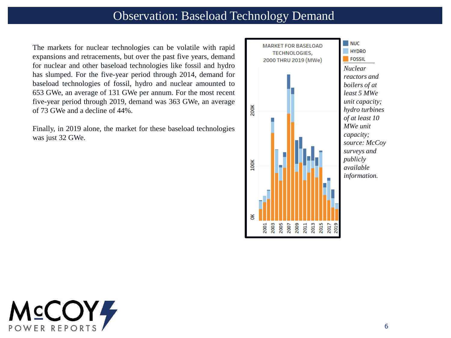The markets for nuclear technologies can be volatile with rapid expansions and retracements, but over the past five years, demand for nuclear and other baseload technologies like fossil and hydro has slumped. For the five-year period through 2014, demand for baseload technologies of fossil, hydro and nuclear amounted to 653 GWe, an average of 131 GWe per annum. For the most recent five-year period through 2019, demand was 363 GWe, an average of 73 GWe and a decline of 44%.

Finally, in 2019 alone, the market for these baseload technologies was just 32 GWe.



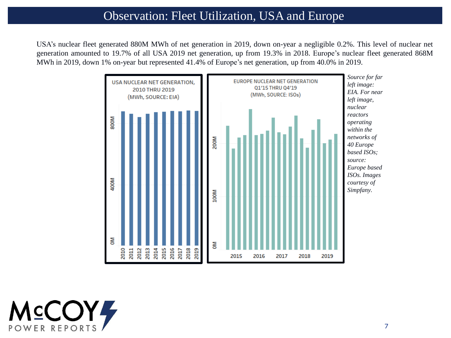### Observation: Fleet Utilization, USA and Europe

USA's nuclear fleet generated 880M MWh of net generation in 2019, down on-year a negligible 0.2%. This level of nuclear net generation amounted to 19.7% of all USA 2019 net generation, up from 19.3% in 2018. Europe's nuclear fleet generated 868M MWh in 2019, down 1% on-year but represented 41.4% of Europe's net generation, up from 40.0% in 2019.